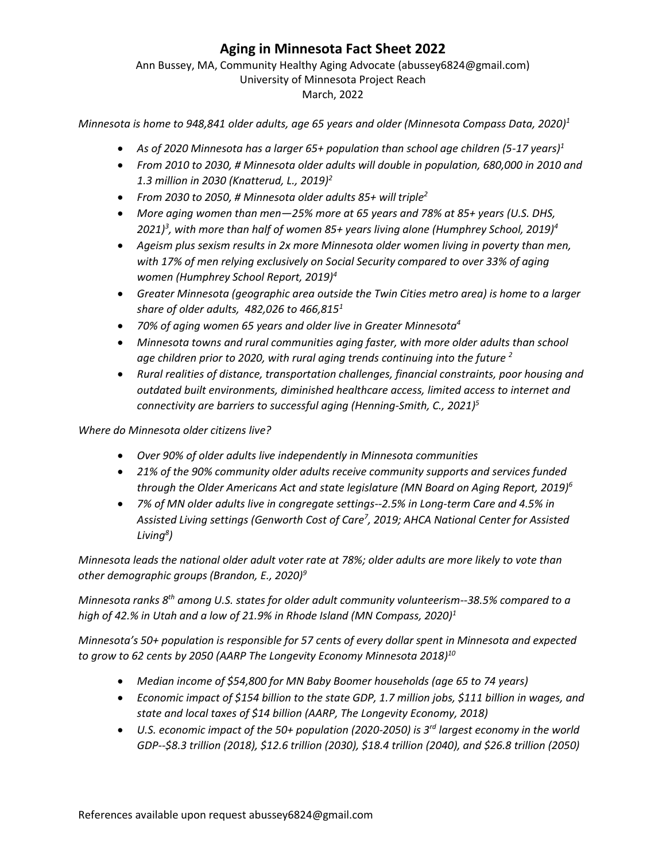## **Aging in Minnesota Fact Sheet 2022**

## Ann Bussey, MA, Community Healthy Aging Advocate (abussey6824@gmail.com) University of Minnesota Project Reach March, 2022

*Minnesota is home to 948,841 older adults, age 65 years and older (Minnesota Compass Data, 2020)<sup>1</sup>*

- *As of 2020 Minnesota has a larger 65+ population than school age children (5-17 years)<sup>1</sup>*
- *From 2010 to 2030, # Minnesota older adults will double in population, 680,000 in 2010 and 1.3 million in 2030 (Knatterud, L., 2019)<sup>2</sup>*
- *From 2030 to 2050, # Minnesota older adults 85+ will triple<sup>2</sup>*
- *More aging women than men—25% more at 65 years and 78% at 85+ years (U.S. DHS, 2021)<sup>3</sup> , with more than half of women 85+ years living alone (Humphrey School, 2019)<sup>4</sup>*
- *Ageism plus sexism results in 2x more Minnesota older women living in poverty than men, with 17% of men relying exclusively on Social Security compared to over 33% of aging women (Humphrey School Report, 2019)<sup>4</sup>*
- *Greater Minnesota (geographic area outside the Twin Cities metro area) is home to a larger share of older adults, 482,026 to 466,815<sup>1</sup>*
- *70% of aging women 65 years and older live in Greater Minnesota<sup>4</sup>*
- *Minnesota towns and rural communities aging faster, with more older adults than school age children prior to 2020, with rural aging trends continuing into the future <sup>2</sup>*
- *Rural realities of distance, transportation challenges, financial constraints, poor housing and outdated built environments, diminished healthcare access, limited access to internet and connectivity are barriers to successful aging (Henning-Smith, C., 2021) 5*

*Where do Minnesota older citizens live?*

- *Over 90% of older adults live independently in Minnesota communities*
- *21% of the 90% community older adults receive community supports and services funded through the Older Americans Act and state legislature (MN Board on Aging Report, 2019)<sup>6</sup>*
- *7% of MN older adults live in congregate settings--2.5% in Long-term Care and 4.5% in Assisted Living settings (Genworth Cost of Care<sup>7</sup> , 2019; AHCA National Center for Assisted Living<sup>8</sup> )*

*Minnesota leads the national older adult voter rate at 78%; older adults are more likely to vote than other demographic groups (Brandon, E., 2020)<sup>9</sup>* 

*Minnesota ranks 8th among U.S. states for older adult community volunteerism--38.5% compared to a high of 42.% in Utah and a low of 21.9% in Rhode Island (MN Compass, 2020)<sup>1</sup>*

*Minnesota's 50+ population is responsible for 57 cents of every dollar spent in Minnesota and expected to grow to 62 cents by 2050 (AARP The Longevity Economy Minnesota 2018) 10*

- *Median income of \$54,800 for MN Baby Boomer households (age 65 to 74 years)*
- *Economic impact of \$154 billion to the state GDP, 1.7 million jobs, \$111 billion in wages, and state and local taxes of \$14 billion (AARP, The Longevity Economy, 2018)*
- *U.S. economic impact of the 50+ population (2020-2050) is 3rd largest economy in the world GDP--\$8.3 trillion (2018), \$12.6 trillion (2030), \$18.4 trillion (2040), and \$26.8 trillion (2050)*